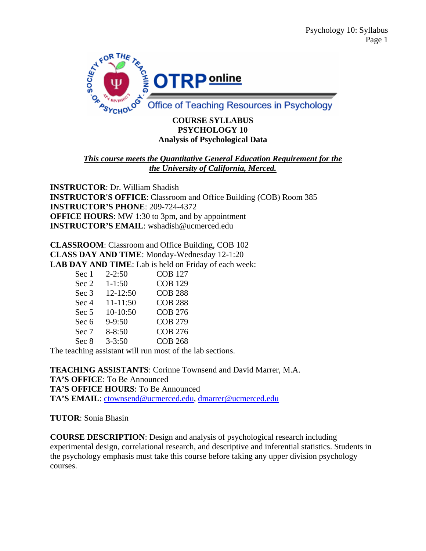

#### **COURSE SYLLABUS PSYCHOLOGY 10 Analysis of Psychological Data**

## *This course meets the Quantitative General Education Requirement for the the University of California, Merced.*

**INSTRUCTOR**: Dr. William Shadish **INSTRUCTOR'S OFFICE**: Classroom and Office Building (COB) Room 385 **INSTRUCTOR'S PHONE**: 209-724-4372 **OFFICE HOURS:** MW 1:30 to 3pm, and by appointment **INSTRUCTOR'S EMAIL**: wshadish@ucmerced.edu

**CLASSROOM**: Classroom and Office Building, COB 102 **CLASS DAY AND TIME**: Monday-Wednesday 12-1:20 **LAB DAY AND TIME**: Lab is held on Friday of each week:

| Sec 1 | $2 - 2:50$ | <b>COB 127</b> |
|-------|------------|----------------|
| Sec 2 | $1 - 1:50$ | <b>COB 129</b> |
| Sec 3 | 12-12:50   | <b>COB 288</b> |
| Sec 4 | 11-11:50   | <b>COB 288</b> |
| Sec 5 | 10-10:50   | <b>COB 276</b> |
| Sec 6 | $9 - 9:50$ | <b>COB 279</b> |
| Sec 7 | $8 - 8:50$ | <b>COB 276</b> |
| Sec 8 | $3 - 3:50$ | <b>COB 268</b> |

The teaching assistant will run most of the lab sections.

**TEACHING ASSISTANTS**: Corinne Townsend and David Marrer, M.A. **TA'S OFFICE**: To Be Announced **TA'S OFFICE HOURS**: To Be Announced **TA'S EMAIL**: ctownsend@ucmerced.edu, dmarrer@ucmerced.edu

### **TUTOR**: Sonia Bhasin

**COURSE DESCRIPTION**: Design and analysis of psychological research including experimental design, correlational research, and descriptive and inferential statistics. Students in the psychology emphasis must take this course before taking any upper division psychology courses.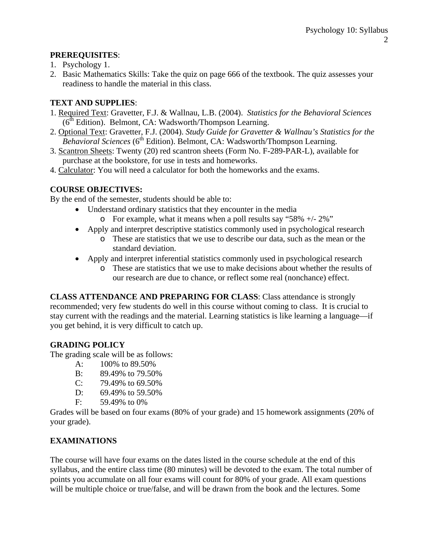## **PREREQUISITES**:

- 1. Psychology 1.
- 2. Basic Mathematics Skills: Take the quiz on page 666 of the textbook. The quiz assesses your readiness to handle the material in this class.

## **TEXT AND SUPPLIES**:

- 1. Required Text: Gravetter, F.J. & Wallnau, L.B. (2004). *Statistics for the Behavioral Sciences*  $(6<sup>th</sup> Edition)$ . Belmont, CA: Wadsworth/Thompson Learning.
- 2. Optional Text: Gravetter, F.J. (2004). *Study Guide for Gravetter & Wallnau's Statistics for the Behavioral Sciences* (6<sup>th</sup> Edition). Belmont, CA: Wadsworth/Thompson Learning.
- 3. Scantron Sheets: Twenty (20) red scantron sheets (Form No. F-289-PAR-L), available for purchase at the bookstore, for use in tests and homeworks.
- 4. Calculator: You will need a calculator for both the homeworks and the exams.

# **COURSE OBJECTIVES:**

By the end of the semester, students should be able to:

- Understand ordinary statistics that they encounter in the media
	- o For example, what it means when a poll results say "58%  $+/- 2\%$ "
- Apply and interpret descriptive statistics commonly used in psychological research
	- o These are statistics that we use to describe our data, such as the mean or the standard deviation.
- Apply and interpret inferential statistics commonly used in psychological research
	- o These are statistics that we use to make decisions about whether the results of our research are due to chance, or reflect some real (nonchance) effect.

**CLASS ATTENDANCE AND PREPARING FOR CLASS**: Class attendance is strongly recommended; very few students do well in this course without coming to class. It is crucial to stay current with the readings and the material. Learning statistics is like learning a language—if you get behind, it is very difficult to catch up.

# **GRADING POLICY**

The grading scale will be as follows:

- A: 100% to 89.50%
- B: 89.49% to 79.50%
- C: 79.49% to 69.50%
- D: 69.49% to 59.50%
- F: 59.49% to 0%

Grades will be based on four exams (80% of your grade) and 15 homework assignments (20% of your grade).

# **EXAMINATIONS**

The course will have four exams on the dates listed in the course schedule at the end of this syllabus, and the entire class time (80 minutes) will be devoted to the exam. The total number of points you accumulate on all four exams will count for 80% of your grade. All exam questions will be multiple choice or true/false, and will be drawn from the book and the lectures. Some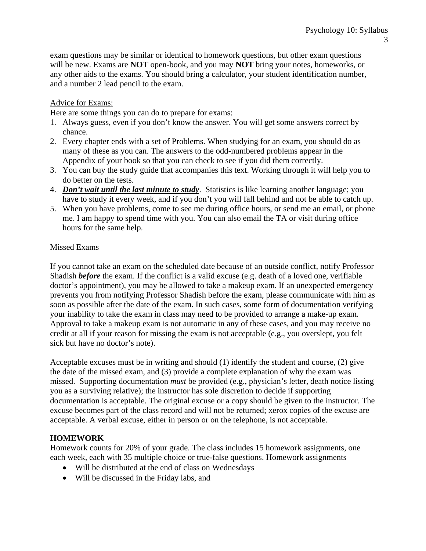exam questions may be similar or identical to homework questions, but other exam questions will be new. Exams are **NOT** open-book, and you may **NOT** bring your notes, homeworks, or any other aids to the exams. You should bring a calculator, your student identification number, and a number 2 lead pencil to the exam.

### Advice for Exams:

Here are some things you can do to prepare for exams:

- 1. Always guess, even if you don't know the answer. You will get some answers correct by chance.
- 2. Every chapter ends with a set of Problems. When studying for an exam, you should do as many of these as you can. The answers to the odd-numbered problems appear in the Appendix of your book so that you can check to see if you did them correctly.
- 3. You can buy the study guide that accompanies this text. Working through it will help you to do better on the tests.
- 4. *Don't wait until the last minute to study*. Statistics is like learning another language; you have to study it every week, and if you don't you will fall behind and not be able to catch up.
- 5. When you have problems, come to see me during office hours, or send me an email, or phone me. I am happy to spend time with you. You can also email the TA or visit during office hours for the same help.

#### Missed Exams

If you cannot take an exam on the scheduled date because of an outside conflict, notify Professor Shadish *before* the exam. If the conflict is a valid excuse (e.g. death of a loved one, verifiable doctor's appointment), you may be allowed to take a makeup exam. If an unexpected emergency prevents you from notifying Professor Shadish before the exam, please communicate with him as soon as possible after the date of the exam. In such cases, some form of documentation verifying your inability to take the exam in class may need to be provided to arrange a make-up exam. Approval to take a makeup exam is not automatic in any of these cases, and you may receive no credit at all if your reason for missing the exam is not acceptable (e.g., you overslept, you felt sick but have no doctor's note).

Acceptable excuses must be in writing and should (1) identify the student and course, (2) give the date of the missed exam, and (3) provide a complete explanation of why the exam was missed. Supporting documentation *must* be provided (e.g., physician's letter, death notice listing you as a surviving relative); the instructor has sole discretion to decide if supporting documentation is acceptable. The original excuse or a copy should be given to the instructor. The excuse becomes part of the class record and will not be returned; xerox copies of the excuse are acceptable. A verbal excuse, either in person or on the telephone, is not acceptable.

### **HOMEWORK**

Homework counts for 20% of your grade. The class includes 15 homework assignments, one each week, each with 35 multiple choice or true-false questions. Homework assignments

- Will be distributed at the end of class on Wednesdays
- Will be discussed in the Friday labs, and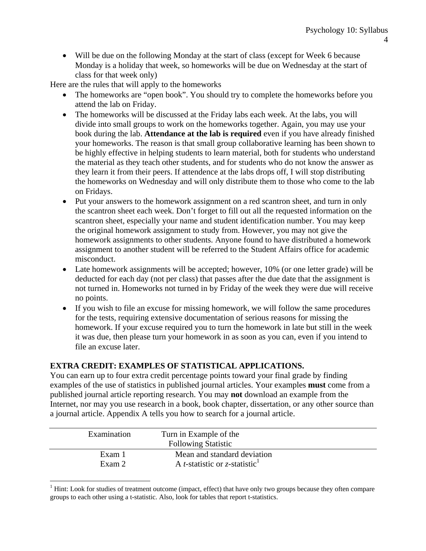• Will be due on the following Monday at the start of class (except for Week 6 because Monday is a holiday that week, so homeworks will be due on Wednesday at the start of class for that week only)

Here are the rules that will apply to the homeworks

- The homeworks are "open book". You should try to complete the homeworks before you attend the lab on Friday.
- The homeworks will be discussed at the Friday labs each week. At the labs, you will divide into small groups to work on the homeworks together. Again, you may use your book during the lab. **Attendance at the lab is required** even if you have already finished your homeworks. The reason is that small group collaborative learning has been shown to be highly effective in helping students to learn material, both for students who understand the material as they teach other students, and for students who do not know the answer as they learn it from their peers. If attendence at the labs drops off, I will stop distributing the homeworks on Wednesday and will only distribute them to those who come to the lab on Fridays.
- Put your answers to the homework assignment on a red scantron sheet, and turn in only the scantron sheet each week. Don't forget to fill out all the requested information on the scantron sheet, especially your name and student identification number. You may keep the original homework assignment to study from. However, you may not give the homework assignments to other students. Anyone found to have distributed a homework assignment to another student will be referred to the Student Affairs office for academic misconduct.
- Late homework assignments will be accepted; however, 10% (or one letter grade) will be deducted for each day (not per class) that passes after the due date that the assignment is not turned in. Homeworks not turned in by Friday of the week they were due will receive no points.
- If you wish to file an excuse for missing homework, we will follow the same procedures for the tests, requiring extensive documentation of serious reasons for missing the homework. If your excuse required you to turn the homework in late but still in the week it was due, then please turn your homework in as soon as you can, even if you intend to file an excuse later.

# **EXTRA CREDIT: EXAMPLES OF STATISTICAL APPLICATIONS.**

 $\overline{a}$ 

You can earn up to four extra credit percentage points toward your final grade by finding examples of the use of statistics in published journal articles. Your examples **must** come from a published journal article reporting research. You may **not** download an example from the Internet, nor may you use research in a book, book chapter, dissertation, or any other source than a journal article. Appendix A tells you how to search for a journal article.

| Examination      | Turn in Example of the<br><b>Following Statistic</b>                                     |  |
|------------------|------------------------------------------------------------------------------------------|--|
| Exam 1<br>Exam 2 | Mean and standard deviation<br>A <i>t</i> -statistic or <i>z</i> -statistic <sup>1</sup> |  |

 $1$  Hint: Look for studies of treatment outcome (impact, effect) that have only two groups because they often compare groups to each other using a t-statistic. Also, look for tables that report t-statistics.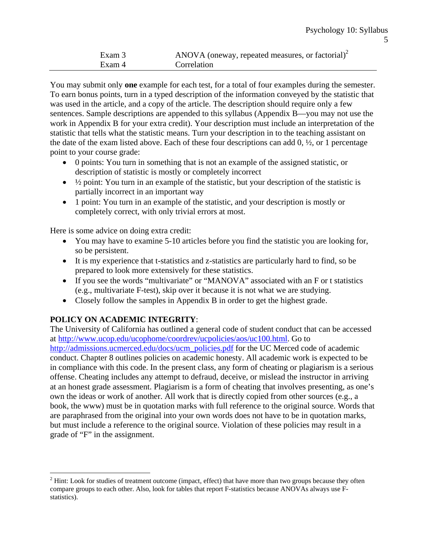| Exam 3 | ANOVA (oneway, repeated measures, or factorial) $^2$ |
|--------|------------------------------------------------------|
| Exam 4 | <b>Correlation</b>                                   |

You may submit only **one** example for each test, for a total of four examples during the semester. To earn bonus points, turn in a typed description of the information conveyed by the statistic that was used in the article, and a copy of the article. The description should require only a few sentences. Sample descriptions are appended to this syllabus (Appendix B—you may not use the work in Appendix B for your extra credit). Your description must include an interpretation of the statistic that tells what the statistic means. Turn your description in to the teaching assistant on the date of the exam listed above. Each of these four descriptions can add  $0, \frac{1}{2}$ , or 1 percentage point to your course grade:

- 0 points: You turn in something that is not an example of the assigned statistic, or description of statistic is mostly or completely incorrect
- $\bullet$   $\frac{1}{2}$  point: You turn in an example of the statistic, but your description of the statistic is partially incorrect in an important way
- 1 point: You turn in an example of the statistic, and your description is mostly or completely correct, with only trivial errors at most.

Here is some advice on doing extra credit:

- You may have to examine 5-10 articles before you find the statistic you are looking for, so be persistent.
- It is my experience that t-statistics and z-statistics are particularly hard to find, so be prepared to look more extensively for these statistics.
- If you see the words "multivariate" or "MANOVA" associated with an F or t statistics (e.g., multivariate F-test), skip over it because it is not what we are studying.
- Closely follow the samples in Appendix B in order to get the highest grade.

# **POLICY ON ACADEMIC INTEGRITY**:

 $\overline{a}$ 

The University of California has outlined a general code of student conduct that can be accessed at http://www.ucop.edu/ucophome/coordrev/ucpolicies/aos/uc100.html. Go to http://admissions.ucmerced.edu/docs/ucm\_policies.pdf for the UC Merced code of academic conduct. Chapter 8 outlines policies on academic honesty. All academic work is expected to be in compliance with this code. In the present class, any form of cheating or plagiarism is a serious offense. Cheating includes any attempt to defraud, deceive, or mislead the instructor in arriving at an honest grade assessment. Plagiarism is a form of cheating that involves presenting, as one's own the ideas or work of another. All work that is directly copied from other sources (e.g., a book, the www) must be in quotation marks with full reference to the original source. Words that are paraphrased from the original into your own words does not have to be in quotation marks, but must include a reference to the original source. Violation of these policies may result in a grade of "F" in the assignment.

 $2<sup>2</sup>$  Hint: Look for studies of treatment outcome (impact, effect) that have more than two groups because they often compare groups to each other. Also, look for tables that report F-statistics because ANOVAs always use Fstatistics).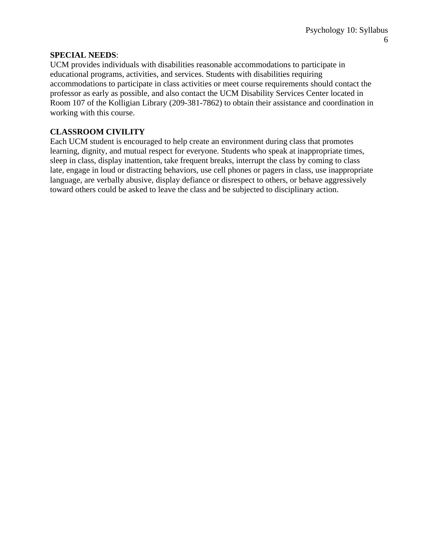#### **SPECIAL NEEDS**:

UCM provides individuals with disabilities reasonable accommodations to participate in educational programs, activities, and services. Students with disabilities requiring accommodations to participate in class activities or meet course requirements should contact the professor as early as possible, and also contact the UCM Disability Services Center located in Room 107 of the Kolligian Library (209-381-7862) to obtain their assistance and coordination in working with this course.

### **CLASSROOM CIVILITY**

Each UCM student is encouraged to help create an environment during class that promotes learning, dignity, and mutual respect for everyone. Students who speak at inappropriate times, sleep in class, display inattention, take frequent breaks, interrupt the class by coming to class late, engage in loud or distracting behaviors, use cell phones or pagers in class, use inappropriate language, are verbally abusive, display defiance or disrespect to others, or behave aggressively toward others could be asked to leave the class and be subjected to disciplinary action.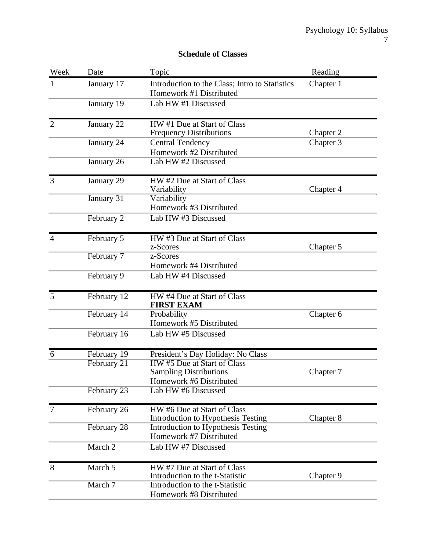#### **Schedule of Classes**

| Week           | Date        | Topic                                                                                   | Reading   |
|----------------|-------------|-----------------------------------------------------------------------------------------|-----------|
| 1              | January 17  | Introduction to the Class; Intro to Statistics<br>Homework #1 Distributed               | Chapter 1 |
|                | January 19  | Lab HW #1 Discussed                                                                     |           |
| $\overline{2}$ | January 22  | HW#1 Due at Start of Class<br><b>Frequency Distributions</b>                            | Chapter 2 |
|                | January 24  | <b>Central Tendency</b><br>Homework #2 Distributed                                      | Chapter 3 |
|                | January 26  | Lab HW #2 Discussed                                                                     |           |
| 3              | January 29  | HW#2 Due at Start of Class<br>Variability                                               | Chapter 4 |
|                | January 31  | Variability<br>Homework #3 Distributed                                                  |           |
|                | February 2  | Lab HW #3 Discussed                                                                     |           |
| $\overline{4}$ | February 5  | HW#3 Due at Start of Class<br>z-Scores                                                  | Chapter 5 |
|                | February 7  | z-Scores<br>Homework #4 Distributed                                                     |           |
|                | February 9  | Lab HW #4 Discussed                                                                     |           |
| 5              | February 12 | HW #4 Due at Start of Class<br><b>FIRST EXAM</b>                                        |           |
|                | February 14 | Probability<br>Homework #5 Distributed                                                  | Chapter 6 |
|                | February 16 | Lab HW #5 Discussed                                                                     |           |
| 6              | February 19 | President's Day Holiday: No Class                                                       |           |
|                | February 21 | HW #5 Due at Start of Class<br><b>Sampling Distributions</b><br>Homework #6 Distributed | Chapter 7 |
|                | February 23 | Lab HW #6 Discussed                                                                     |           |
| $\tau$         | February 26 | HW #6 Due at Start of Class<br>Introduction to Hypothesis Testing                       | Chapter 8 |
|                | February 28 | Introduction to Hypothesis Testing<br>Homework #7 Distributed                           |           |
|                | March 2     | Lab HW #7 Discussed                                                                     |           |
| 8              | March 5     | HW #7 Due at Start of Class<br>Introduction to the t-Statistic                          | Chapter 9 |
|                | March 7     | Introduction to the t-Statistic<br>Homework #8 Distributed                              |           |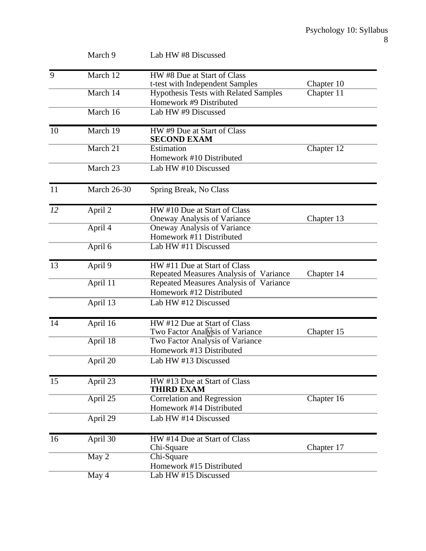|    | March 9            | Lab HW #8 Discussed                                                |            |
|----|--------------------|--------------------------------------------------------------------|------------|
| 9  | March 12           | HW#8 Due at Start of Class                                         |            |
|    |                    | t-test with Independent Samples                                    | Chapter 10 |
|    | March 14           | <b>Hypothesis Tests with Related Samples</b>                       | Chapter 11 |
|    |                    | Homework #9 Distributed                                            |            |
|    | March 16           | Lab HW #9 Discussed                                                |            |
| 10 | March 19           | HW #9 Due at Start of Class<br><b>SECOND EXAM</b>                  |            |
|    | March 21           | Estimation                                                         | Chapter 12 |
|    |                    | Homework #10 Distributed                                           |            |
|    | March 23           | Lab HW #10 Discussed                                               |            |
| 11 | <b>March 26-30</b> | Spring Break, No Class                                             |            |
| 12 | April 2            | HW #10 Due at Start of Class                                       |            |
|    |                    | <b>Oneway Analysis of Variance</b>                                 | Chapter 13 |
|    | April 4            | <b>Oneway Analysis of Variance</b>                                 |            |
|    |                    | Homework #11 Distributed                                           |            |
|    | April 6            | Lab HW #11 Discussed                                               |            |
| 13 | April 9            | HW#11 Due at Start of Class                                        |            |
|    |                    | Repeated Measures Analysis of Variance                             | Chapter 14 |
|    | April 11           | Repeated Measures Analysis of Variance<br>Homework #12 Distributed |            |
|    |                    |                                                                    |            |
|    | April 13           | Lab HW #12 Discussed                                               |            |
| 14 | April 16           | HW #12 Due at Start of Class                                       |            |
|    |                    | Two Factor Analysis of Variance                                    | Chapter 15 |
|    | April 18           | Two Factor Analysis of Variance                                    |            |
|    |                    | Homework #13 Distributed                                           |            |
|    | April 20           | Lab HW #13 Discussed                                               |            |
| 15 | April 23           | HW #13 Due at Start of Class                                       |            |
|    |                    | <b>THIRD EXAM</b>                                                  |            |
|    | April 25           | <b>Correlation and Regression</b>                                  | Chapter 16 |
|    |                    | Homework #14 Distributed                                           |            |
|    | April 29           | Lab HW #14 Discussed                                               |            |
| 16 | April 30           | HW #14 Due at Start of Class                                       |            |
|    |                    | Chi-Square                                                         | Chapter 17 |
|    | May 2              | Chi-Square                                                         |            |
|    |                    | Homework #15 Distributed                                           |            |
|    | May 4              | Lab HW #15 Discussed                                               |            |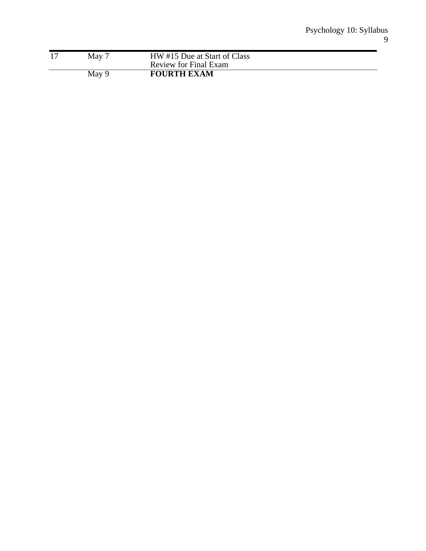| May   | HW #15 Due at Start of Class |
|-------|------------------------------|
|       | Review for Final Exam        |
| May 9 | <b>FOURTH EXAM</b>           |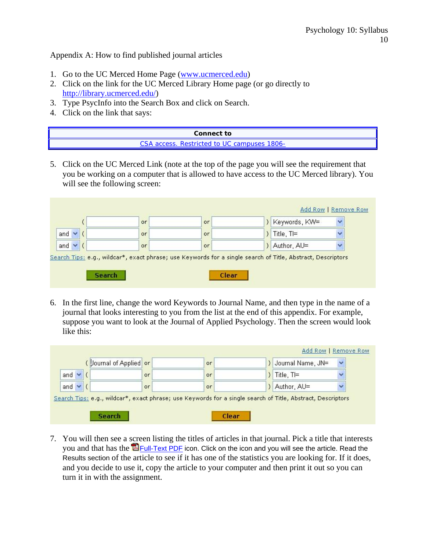Appendix A: How to find published journal articles

- 1. Go to the UC Merced Home Page (www.ucmerced.edu)
- 2. Click on the link for the UC Merced Library Home page (or go directly to http://library.ucmerced.edu/)
- 3. Type PsycInfo into the Search Box and click on Search.
- 4. Click on the link that says:

| Connect to                                  |  |
|---------------------------------------------|--|
| CSA access. Restricted to UC campuses 1806- |  |

5. Click on the UC Merced Link (note at the top of the page you will see the requirement that you be working on a computer that is allowed to have access to the UC Merced library). You will see the following screen:

| $\checkmark$ | Keywords, KW=  | or | or.       |            |
|--------------|----------------|----|-----------|------------|
|              | ) Title, $TI=$ | or | or.       | and $\vee$ |
|              | ) Author, AU=  | or | <b>or</b> | and $\vee$ |

6. In the first line, change the word Keywords to Journal Name, and then type in the name of a journal that looks interesting to you from the list at the end of this appendix. For example, suppose you want to look at the Journal of Applied Psychology. Then the screen would look like this:

|            | Journal of Applied or |     | or | Journal Name, JN= | $\overline{\phantom{a}}$ |
|------------|-----------------------|-----|----|-------------------|--------------------------|
| and $\vee$ |                       | or  | or | Title, TI=        |                          |
| and $\vee$ |                       | or. | or | Author, AU=       |                          |

7. You will then see a screen listing the titles of articles in that journal. Pick a title that interests you and that has the  $\overline{B}_{\text{Full-Text PDF}}$  icon. Click on the icon and you will see the article. Read the Results section of the article to see if it has one of the statistics you are looking for. If it does, and you decide to use it, copy the article to your computer and then print it out so you can turn it in with the assignment.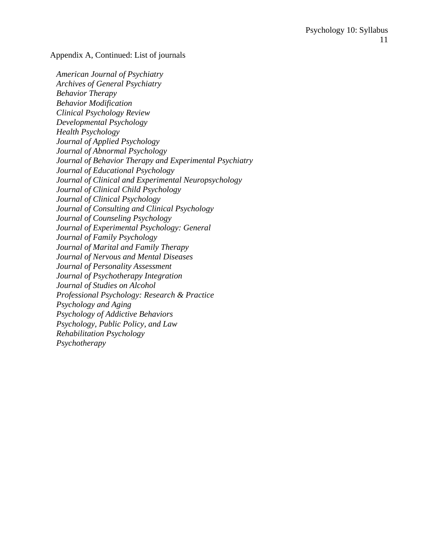#### Appendix A, Continued: List of journals

 *American Journal of Psychiatry Archives of General Psychiatry Behavior Therapy Behavior Modification Clinical Psychology Review Developmental Psychology Health Psychology Journal of Applied Psychology Journal of Abnormal Psychology Journal of Behavior Therapy and Experimental Psychiatry Journal of Educational Psychology Journal of Clinical and Experimental Neuropsychology Journal of Clinical Child Psychology Journal of Clinical Psychology Journal of Consulting and Clinical Psychology Journal of Counseling Psychology Journal of Experimental Psychology: General Journal of Family Psychology Journal of Marital and Family Therapy Journal of Nervous and Mental Diseases Journal of Personality Assessment Journal of Psychotherapy Integration Journal of Studies on Alcohol Professional Psychology: Research & Practice Psychology and Aging Psychology of Addictive Behaviors Psychology, Public Policy, and Law Rehabilitation Psychology Psychotherapy*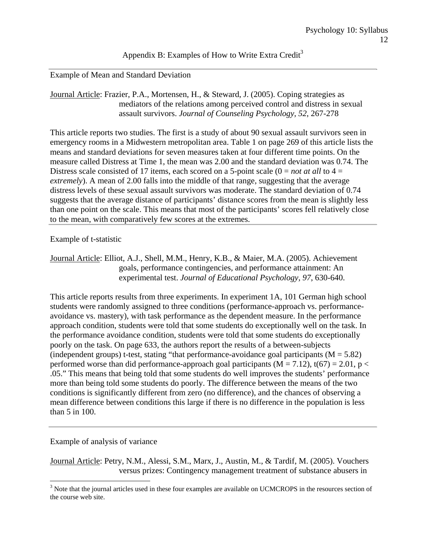### Appendix B: Examples of How to Write Extra Credit<sup>3</sup>

#### Example of Mean and Standard Deviation

Journal Article: Frazier, P.A., Mortensen, H., & Steward, J. (2005). Coping strategies as mediators of the relations among perceived control and distress in sexual assault survivors. *Journal of Counseling Psychology, 52*, 267-278

This article reports two studies. The first is a study of about 90 sexual assault survivors seen in emergency rooms in a Midwestern metropolitan area. Table 1 on page 269 of this article lists the means and standard deviations for seven measures taken at four different time points. On the measure called Distress at Time 1, the mean was 2.00 and the standard deviation was 0.74. The Distress scale consisted of 17 items, each scored on a 5-point scale  $(0 = not at all to 4 = 1)$ *extremely*). A mean of 2.00 falls into the middle of that range, suggesting that the average distress levels of these sexual assault survivors was moderate. The standard deviation of 0.74 suggests that the average distance of participants' distance scores from the mean is slightly less than one point on the scale. This means that most of the participants' scores fell relatively close to the mean, with comparatively few scores at the extremes.

#### Example of t-statistic

Journal Article: Elliot, A.J., Shell, M.M., Henry, K.B., & Maier, M.A. (2005). Achievement goals, performance contingencies, and performance attainment: An experimental test. *Journal of Educational Psychology, 97*, 630-640.

This article reports results from three experiments. In experiment 1A, 101 German high school students were randomly assigned to three conditions (performance-approach vs. performanceavoidance vs. mastery), with task performance as the dependent measure. In the performance approach condition, students were told that some students do exceptionally well on the task. In the performance avoidance condition, students were told that some students do exceptionally poorly on the task. On page 633, the authors report the results of a between-subjects (independent groups) t-test, stating "that performance-avoidance goal participants ( $M = 5.82$ ) performed worse than did performance-approach goal participants ( $M = 7.12$ ),  $t(67) = 2.01$ ,  $p <$ .05." This means that being told that some students do well improves the students' performance more than being told some students do poorly. The difference between the means of the two conditions is significantly different from zero (no difference), and the chances of observing a mean difference between conditions this large if there is no difference in the population is less than 5 in 100.

#### Example of analysis of variance

Journal Article: Petry, N.M., Alessi, S.M., Marx, J., Austin, M., & Tardif, M. (2005). Vouchers versus prizes: Contingency management treatment of substance abusers in

<sup>&</sup>lt;sup>3</sup> Note that the journal articles used in these four examples are available on UCMCROPS in the resources section of the course web site.